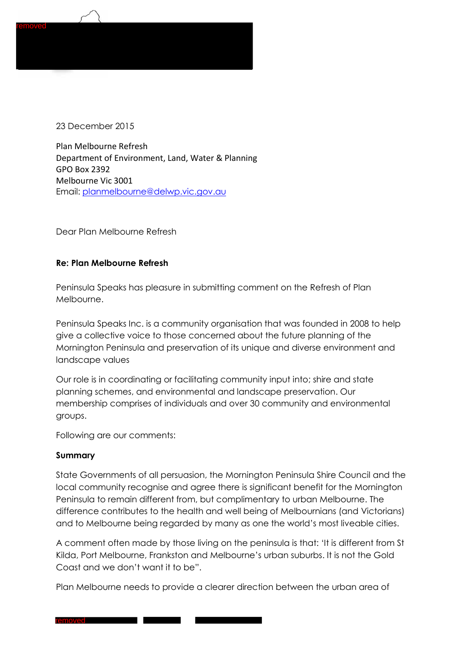

23 December 2015

Plan Melbourne Refresh Department of Environment, Land, Water & Planning GPO Box 2392 Melbourne Vic 3001 Email: [planmelbourne@delwp.vic.gov.au](mailto:planmelbourne@delwp.vic.gov.au)

Dear Plan Melbourne Refresh

#### **Re: Plan Melbourne Refresh**

Peninsula Speaks has pleasure in submitting comment on the Refresh of Plan Melbourne.

Peninsula Speaks Inc. is a community organisation that was founded in 2008 to help give a collective voice to those concerned about the future planning of the Mornington Peninsula and preservation of its unique and diverse environment and landscape values

Our role is in coordinating or facilitating community input into; shire and state planning schemes, and environmental and landscape preservation. Our membership comprises of individuals and over 30 community and environmental groups.

Following are our comments:

#### **Summary**

State Governments of all persuasion, the Mornington Peninsula Shire Council and the local community recognise and agree there is significant benefit for the Mornington Peninsula to remain different from, but complimentary to urban Melbourne. The difference contributes to the health and well being of Melbournians (and Victorians) and to Melbourne being regarded by many as one the world's most liveable cities.

A comment often made by those living on the peninsula is that: 'It is different from St Kilda, Port Melbourne, Frankston and Melbourne's urban suburbs. It is not the Gold Coast and we don't want it to be".

Plan Melbourne needs to provide a clearer direction between the urban area of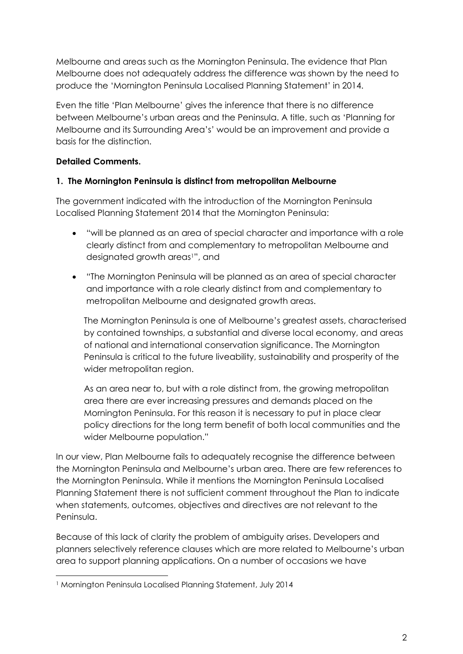Melbourne and areas such as the Mornington Peninsula. The evidence that Plan Melbourne does not adequately address the difference was shown by the need to produce the 'Mornington Peninsula Localised Planning Statement' in 2014.

Even the title 'Plan Melbourne' gives the inference that there is no difference between Melbourne's urban areas and the Peninsula. A title, such as 'Planning for Melbourne and its Surrounding Area's' would be an improvement and provide a basis for the distinction.

## **Detailed Comments.**

## **1. The Mornington Peninsula is distinct from metropolitan Melbourne**

The government indicated with the introduction of the Mornington Peninsula Localised Planning Statement 2014 that the Mornington Peninsula:

- "will be planned as an area of special character and importance with a role clearly distinct from and complementary to metropolitan Melbourne and designated growth areas<sup>1</sup>", and
- "The Mornington Peninsula will be planned as an area of special character and importance with a role clearly distinct from and complementary to metropolitan Melbourne and designated growth areas.

The Mornington Peninsula is one of Melbourne's greatest assets, characterised by contained townships, a substantial and diverse local economy, and areas of national and international conservation significance. The Mornington Peninsula is critical to the future liveability, sustainability and prosperity of the wider metropolitan region.

As an area near to, but with a role distinct from, the growing metropolitan area there are ever increasing pressures and demands placed on the Mornington Peninsula. For this reason it is necessary to put in place clear policy directions for the long term benefit of both local communities and the wider Melbourne population."

In our view, Plan Melbourne fails to adequately recognise the difference between the Mornington Peninsula and Melbourne's urban area. There are few references to the Mornington Peninsula. While it mentions the Mornington Peninsula Localised Planning Statement there is not sufficient comment throughout the Plan to indicate when statements, outcomes, objectives and directives are not relevant to the Peninsula.

Because of this lack of clarity the problem of ambiguity arises. Developers and planners selectively reference clauses which are more related to Melbourne's urban area to support planning applications. On a number of occasions we have

 $\overline{a}$ 

<sup>1</sup> Mornington Peninsula Localised Planning Statement, July 2014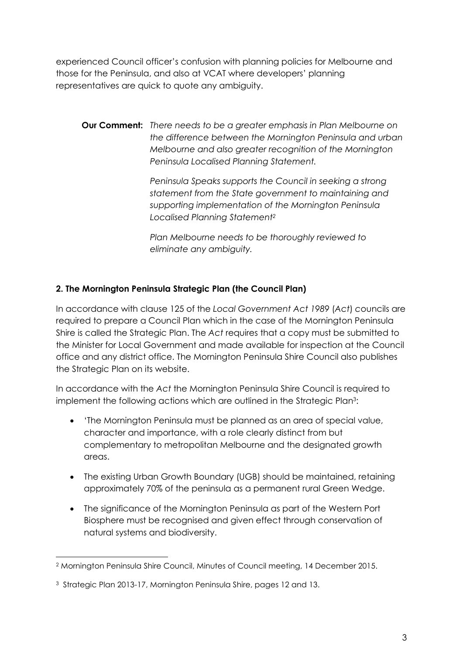experienced Council officer's confusion with planning policies for Melbourne and those for the Peninsula, and also at VCAT where developers' planning representatives are quick to quote any ambiguity.

**Our Comment:** *There needs to be a greater emphasis in Plan Melbourne on the difference between the Mornington Peninsula and urban Melbourne and also greater recognition of the Mornington Peninsula Localised Planning Statement.*

> *Peninsula Speaks supports the Council in seeking a strong statement from the State government to maintaining and supporting implementation of the Mornington Peninsula Localised Planning Statement<sup>2</sup>*

*Plan Melbourne needs to be thoroughly reviewed to eliminate any ambiguity.* 

# **2. The Mornington Peninsula Strategic Plan (the Council Plan)**

In accordance with clause 125 of the *Local Government Act 1989* (*Act*) *c*ouncils are required to prepare a Council Plan which in the case of the Mornington Peninsula Shire is called the Strategic Plan. The *Act* requires that a copy must be submitted to the Minister for Local Government and made available for inspection at the Council office and any district office. The Mornington Peninsula Shire Council also publishes the Strategic Plan on its website.

In accordance with the *Act* the Mornington Peninsula Shire Council is required to implement the following actions which are outlined in the Strategic Plan<sup>3</sup>:

- 'The Mornington Peninsula must be planned as an area of special value, character and importance, with a role clearly distinct from but complementary to metropolitan Melbourne and the designated growth areas.
- The existing Urban Growth Boundary (UGB) should be maintained, retaining approximately 70% of the peninsula as a permanent rural Green Wedge.
- The significance of the Mornington Peninsula as part of the Western Port Biosphere must be recognised and given effect through conservation of natural systems and biodiversity.

 $\overline{a}$ 

<sup>2</sup> Mornington Peninsula Shire Council, Minutes of Council meeting, 14 December 2015.

<sup>3</sup> Strategic Plan 2013-17, Mornington Peninsula Shire, pages 12 and 13.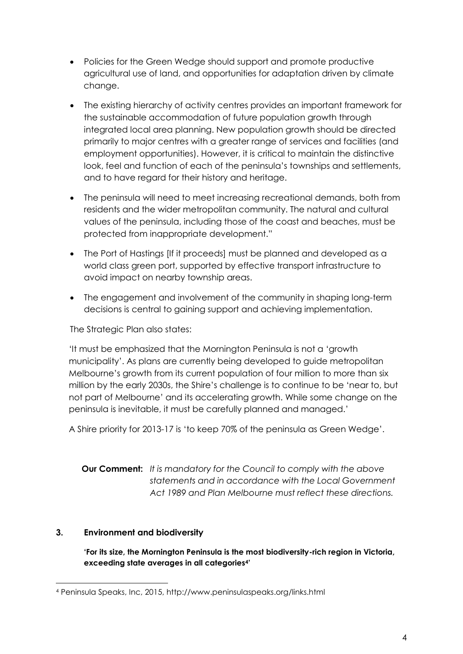- Policies for the Green Wedge should support and promote productive agricultural use of land, and opportunities for adaptation driven by climate change.
- The existing hierarchy of activity centres provides an important framework for the sustainable accommodation of future population growth through integrated local area planning. New population growth should be directed primarily to major centres with a greater range of services and facilities (and employment opportunities). However, it is critical to maintain the distinctive look, feel and function of each of the peninsula's townships and settlements, and to have regard for their history and heritage.
- The peninsula will need to meet increasing recreational demands, both from residents and the wider metropolitan community. The natural and cultural values of the peninsula, including those of the coast and beaches, must be protected from inappropriate development."
- The Port of Hastings [If it proceeds] must be planned and developed as a world class green port, supported by effective transport infrastructure to avoid impact on nearby township areas.
- The engagement and involvement of the community in shaping long-term decisions is central to gaining support and achieving implementation.

The Strategic Plan also states:

'It must be emphasized that the Mornington Peninsula is not a 'growth municipality'. As plans are currently being developed to guide metropolitan Melbourne's growth from its current population of four million to more than six million by the early 2030s, the Shire's challenge is to continue to be 'near to, but not part of Melbourne' and its accelerating growth. While some change on the peninsula is inevitable, it must be carefully planned and managed.'

A Shire priority for 2013-17 is 'to keep 70% of the peninsula as Green Wedge'.

**Our Comment:** *It is mandatory for the Council to comply with the above statements and in accordance with the Local Government Act 1989 and Plan Melbourne must reflect these directions.*

## **3. Environment and biodiversity**

 $\overline{a}$ 

**'For its size, the Mornington Peninsula is the most biodiversity-rich region in Victoria, exceeding state averages in all categories4'**

<sup>4</sup> Peninsula Speaks, Inc, 2015, http://www.peninsulaspeaks.org/links.html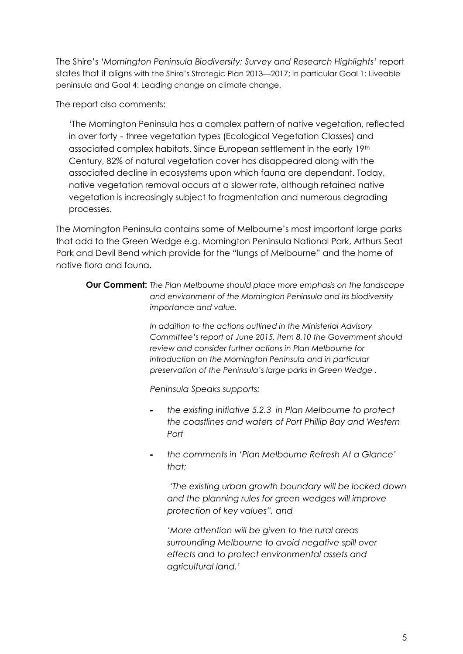The Shire's '*Mornington Peninsula Biodiversity: Survey and Research Highlights'* report states that it aligns with the Shire's Strategic Plan 2013—2017; in particular Goal 1: Liveable peninsula and Goal 4: Leading change on climate change.

The report also comments:

'The Mornington Peninsula has a complex pattern of native vegetation, reflected in over forty - three vegetation types (Ecological Vegetation Classes) and associated complex habitats. Since European settlement in the early 19th Century, 82% of natural vegetation cover has disappeared along with the associated decline in ecosystems upon which fauna are dependant. Today, native vegetation removal occurs at a slower rate, although retained native vegetation is increasingly subject to fragmentation and numerous degrading processes.

The Mornington Peninsula contains some of Melbourne's most important large parks that add to the Green Wedge e.g. Mornington Peninsula National Park, Arthurs Seat Park and Devil Bend which provide for the "lungs of Melbourne" and the home of native flora and fauna.

**Our Comment:** *The Plan Melbourne should place more emphasis on the landscape and environment of the Mornington Peninsula and its biodiversity importance and value.*

> *In addition to the actions outlined in the Ministerial Advisory Committee's report of June 2015, item 8.10 the Government should review and consider further actions in Plan Melbourne for introduction on the Mornington Peninsula and in particular preservation of the Peninsula's large parks in Green Wedge .*

*Peninsula Speaks supports:*

- *the existing initiative 5.2.3 in Plan Melbourne to protect the coastlines and waters of Port Phillip Bay and Western Port*
- *the comments in 'Plan Melbourne Refresh At a Glance' that:*

*'The existing urban growth boundary will be locked down and the planning rules for green wedges will improve protection of key values", and*

*'More attention will be given to the rural areas surrounding Melbourne to avoid negative spill over effects and to protect environmental assets and agricultural land.'*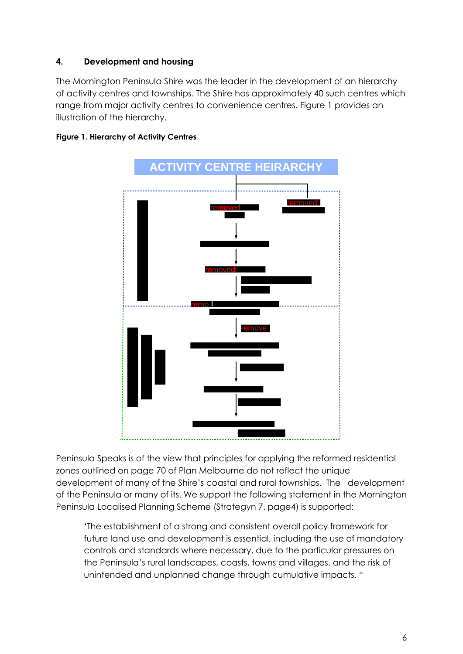## **4. Development and housing**

The Mornington Peninsula Shire was the leader in the development of an hierarchy of activity centres and townships. The Shire has approximately 40 such centres which range from major activity centres to convenience centres. Figure 1 provides an illustration of the hierarchy.





Peninsula Speaks is of the view that principles for applying the reformed residential zones outlined on page 70 of Plan Melbourne do not reflect the unique development of many of the Shire's coastal and rural townships. The development of the Peninsula or many of its. We support the following statement in the Mornington Peninsula Localised Planning Scheme (Strategyn 7, page4) is supported:

'The establishment of a strong and consistent overall policy framework for future land use and development is essential, including the use of mandatory controls and standards where necessary, due to the particular pressures on the Peninsula's rural landscapes, coasts, towns and villages, and the risk of unintended and unplanned change through cumulative impacts. "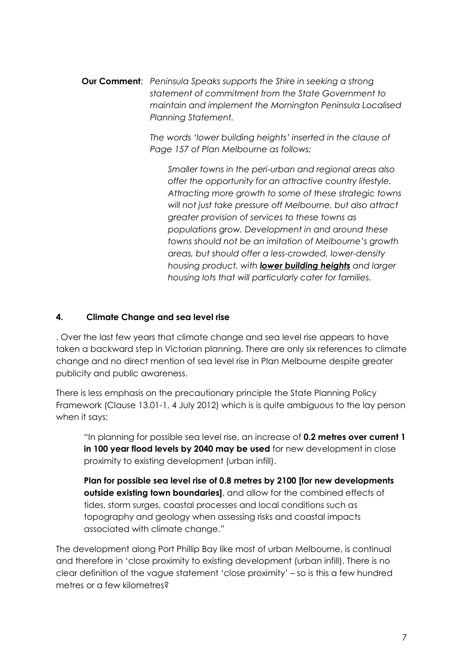**Our Comment**; *Peninsula Speaks supports the Shire in seeking a strong statement of commitment from the State Government to maintain and implement the Mornington Peninsula Localised Planning Statement.* 

> *The words 'lower building heights' inserted in the clause of Page 157 of Plan Melbourne as follows:*

*Smaller towns in the peri-urban and regional areas also offer the opportunity for an attractive country lifestyle. Attracting more growth to some of these strategic towns will not just take pressure off Melbourne, but also attract greater provision of services to these towns as populations grow. Development in and around these towns should not be an imitation of Melbourne's growth areas, but should offer a less-crowded, lower-density housing product, with lower building heights and larger housing lots that will particularly cater for families.*

#### **4. Climate Change and sea level rise**

. Over the last few years that climate change and sea level rise appears to have taken a backward step in Victorian planning. There are only six references to climate change and no direct mention of sea level rise in Plan Melbourne despite greater publicity and public awareness.

There is less emphasis on the precautionary principle the State Planning Policy Framework (Clause 13.01-1, 4 July 2012) which is is quite ambiguous to the lay person when it says:

"In planning for possible sea level rise, an increase of **0.2 metres over current 1 in 100 year flood levels by 2040 may be used** for new development in close proximity to existing development (urban infill).

**Plan for possible sea level rise of 0.8 metres by 2100 [for new developments outside existing town boundaries]**, and allow for the combined effects of tides, storm surges, coastal processes and local conditions such as topography and geology when assessing risks and coastal impacts associated with climate change."

The development along Port Phillip Bay like most of urban Melbourne, is continual and therefore in 'close proximity to existing development (urban infill). There is no clear definition of the vague statement 'close proximity' – so is this a few hundred metres or a few kilometres?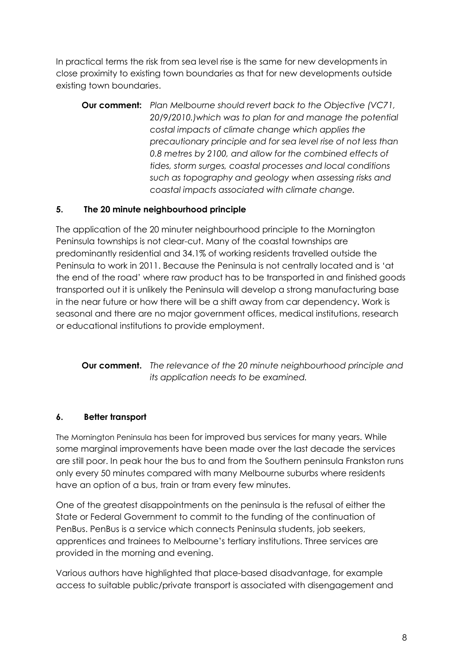In practical terms the risk from sea level rise is the same for new developments in close proximity to existing town boundaries as that for new developments outside existing town boundaries.

**Our comment:** *Plan Melbourne should revert back to the Objective (VC71, 20/9/2010.)which was to plan for and manage the potential costal impacts of climate change which applies the precautionary principle and for sea level rise of not less than 0.8 metres by 2100, and allow for the combined effects of tides, storm surges, coastal processes and local conditions such as topography and geology when assessing risks and coastal impacts associated with climate change.*

# **5. The 20 minute neighbourhood principle**

The application of the 20 minuter neighbourhood principle to the Mornington Peninsula townships is not clear-cut. Many of the coastal townships are predominantly residential and 34.1% of working residents travelled outside the Peninsula to work in 2011. Because the Peninsula is not centrally located and is 'at the end of the road' where raw product has to be transported in and finished goods transported out it is unlikely the Peninsula will develop a strong manufacturing base in the near future or how there will be a shift away from car dependency**.** Work is seasonal and there are no major government offices, medical institutions, research or educational institutions to provide employment.

**Our comment.** *The relevance of the 20 minute neighbourhood principle and its application needs to be examined.*

## **6. Better transport**

The Mornington Peninsula has been for improved bus services for many years. While some marginal improvements have been made over the last decade the services are still poor. In peak hour the bus to and from the Southern peninsula Frankston runs only every 50 minutes compared with many Melbourne suburbs where residents have an option of a bus, train or tram every few minutes.

One of the greatest disappointments on the peninsula is the refusal of either the State or Federal Government to commit to the funding of the continuation of PenBus. PenBus is a service which connects Peninsula students, job seekers, apprentices and trainees to Melbourne's tertiary institutions. Three services are provided in the morning and evening.

Various authors have highlighted that place-based disadvantage, for example access to suitable public/private transport is associated with disengagement and